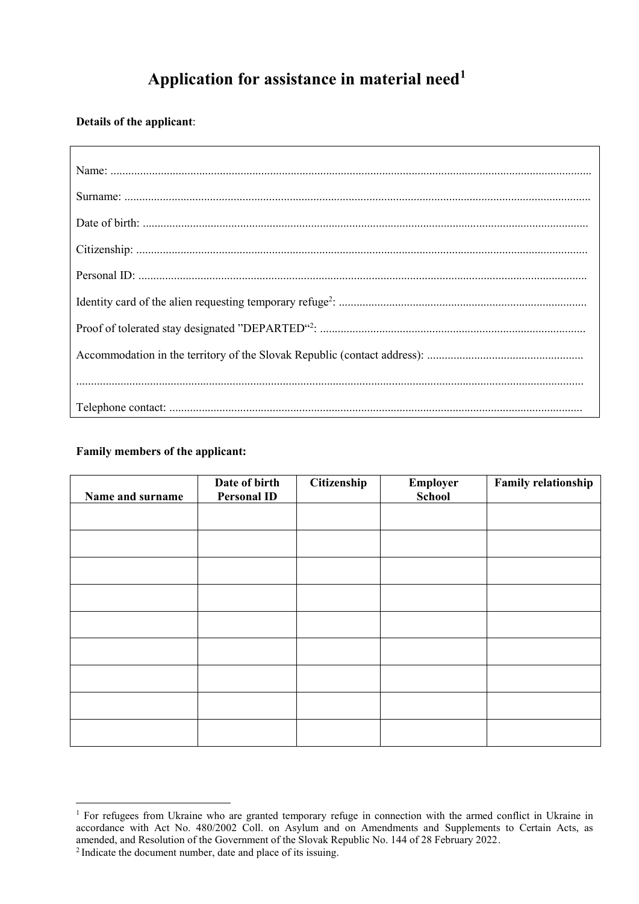# **Application for assistance in material need<sup>1</sup>**

**Details of the applicant**:

## **Family members of the applicant:**

| Name and surname | Date of birth<br><b>Personal ID</b> | Citizenship | Employer<br><b>School</b> | <b>Family relationship</b> |
|------------------|-------------------------------------|-------------|---------------------------|----------------------------|
|                  |                                     |             |                           |                            |
|                  |                                     |             |                           |                            |
|                  |                                     |             |                           |                            |
|                  |                                     |             |                           |                            |
|                  |                                     |             |                           |                            |
|                  |                                     |             |                           |                            |
|                  |                                     |             |                           |                            |
|                  |                                     |             |                           |                            |
|                  |                                     |             |                           |                            |

l <sup>1</sup> For refugees from Ukraine who are granted temporary refuge in connection with the armed conflict in Ukraine in accordance with Act No. 480/2002 Coll. on Asylum and on Amendments and Supplements to Certain Acts, as amended, and Resolution of the Government of the Slovak Republic No. 144 of 28 February 2022. <sup>2</sup> Indicate the document number, date and place of its issuing.